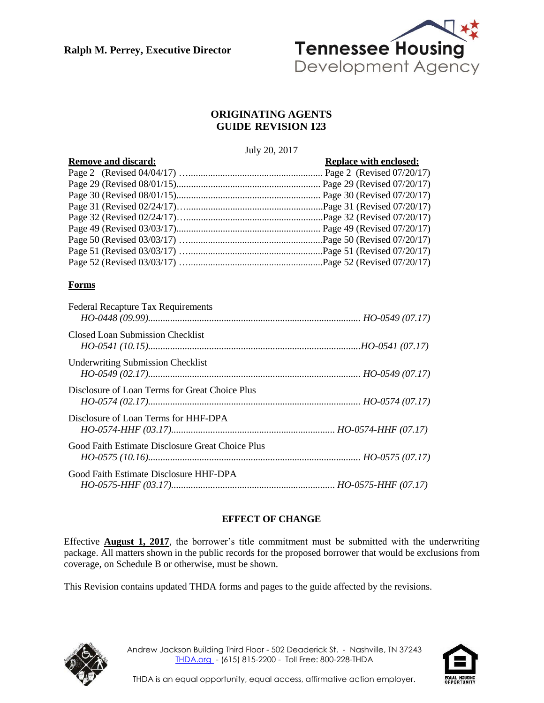**Ralph M. Perrey, Executive Director**



# **ORIGINATING AGENTS GUIDE REVISION 123**

#### July 20, 2017

| <b>Remove and discard:</b> | <b>Replace with enclosed:</b> |
|----------------------------|-------------------------------|
|                            |                               |
|                            |                               |
|                            |                               |
|                            |                               |
|                            |                               |
|                            |                               |
|                            |                               |
|                            |                               |
|                            |                               |

# **Forms**

| <b>Federal Recapture Tax Requirements</b>        |  |
|--------------------------------------------------|--|
| Closed Loan Submission Checklist                 |  |
| <b>Underwriting Submission Checklist</b>         |  |
| Disclosure of Loan Terms for Great Choice Plus   |  |
| Disclosure of Loan Terms for HHF-DPA             |  |
| Good Faith Estimate Disclosure Great Choice Plus |  |
| Good Faith Estimate Disclosure HHF-DPA           |  |

# **EFFECT OF CHANGE**

Effective **August 1, 2017**, the borrower's title commitment must be submitted with the underwriting package. All matters shown in the public records for the proposed borrower that would be exclusions from coverage, on Schedule B or otherwise, must be shown.

This Revision contains updated THDA forms and pages to the guide affected by the revisions.



Andrew Jackson Building Third Floor - 502 Deaderick St. - Nashville, TN 37243 [THDA.org](http://www.thda.org/) - (615) 815-2200 - Toll Free: 800-228-THDA

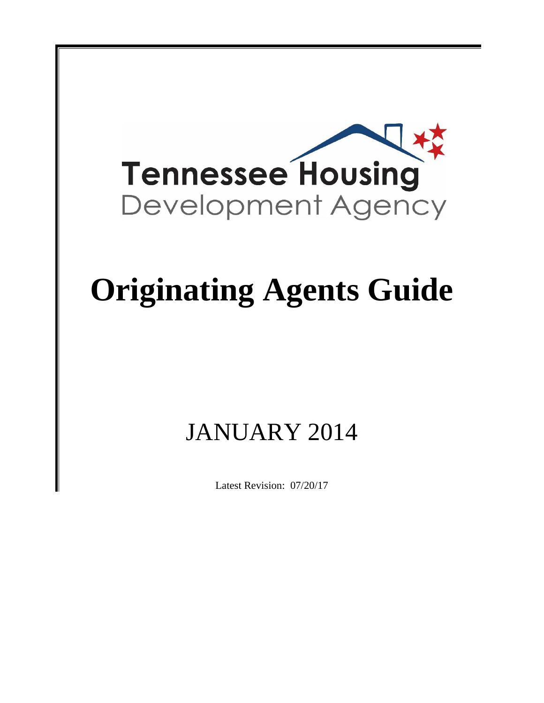

# **Originating Agents Guide**

# JANUARY 2014

Latest Revision: 07/20/17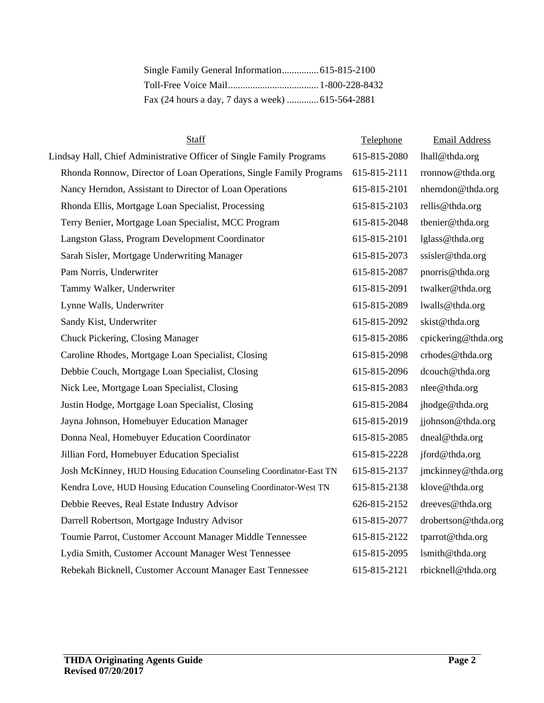| Fax (24 hours a day, 7 days a week)  615-564-2881 |  |
|---------------------------------------------------|--|

| Staff                                                                | Telephone    | <b>Email Address</b> |
|----------------------------------------------------------------------|--------------|----------------------|
| Lindsay Hall, Chief Administrative Officer of Single Family Programs | 615-815-2080 | lhall@thda.org       |
| Rhonda Ronnow, Director of Loan Operations, Single Family Programs   | 615-815-2111 | rronnow@thda.org     |
| Nancy Herndon, Assistant to Director of Loan Operations              | 615-815-2101 | nherndon@thda.org    |
| Rhonda Ellis, Mortgage Loan Specialist, Processing                   | 615-815-2103 | rellis@thda.org      |
| Terry Benier, Mortgage Loan Specialist, MCC Program                  | 615-815-2048 | tbenier@thda.org     |
| Langston Glass, Program Development Coordinator                      | 615-815-2101 | lglass@thda.org      |
| Sarah Sisler, Mortgage Underwriting Manager                          | 615-815-2073 | ssisler@thda.org     |
| Pam Norris, Underwriter                                              | 615-815-2087 | pnorris@thda.org     |
| Tammy Walker, Underwriter                                            | 615-815-2091 | twalker@thda.org     |
| Lynne Walls, Underwriter                                             | 615-815-2089 | lwalls@thda.org      |
| Sandy Kist, Underwriter                                              | 615-815-2092 | skist@thda.org       |
| Chuck Pickering, Closing Manager                                     | 615-815-2086 | cpickering@thda.org  |
| Caroline Rhodes, Mortgage Loan Specialist, Closing                   | 615-815-2098 | crhodes@thda.org     |
| Debbie Couch, Mortgage Loan Specialist, Closing                      | 615-815-2096 | dcouch@thda.org      |
| Nick Lee, Mortgage Loan Specialist, Closing                          | 615-815-2083 | nlee@thda.org        |
| Justin Hodge, Mortgage Loan Specialist, Closing                      | 615-815-2084 | jhodge@thda.org      |
| Jayna Johnson, Homebuyer Education Manager                           | 615-815-2019 | jjohnson@thda.org    |
| Donna Neal, Homebuyer Education Coordinator                          | 615-815-2085 | dneal@thda.org       |
| Jillian Ford, Homebuyer Education Specialist                         | 615-815-2228 | jford@thda.org       |
| Josh McKinney, HUD Housing Education Counseling Coordinator-East TN  | 615-815-2137 | jmckinney@thda.org   |
| Kendra Love, HUD Housing Education Counseling Coordinator-West TN    | 615-815-2138 | klove@thda.org       |
| Debbie Reeves, Real Estate Industry Advisor                          | 626-815-2152 | dreeves@thda.org     |
| Darrell Robertson, Mortgage Industry Advisor                         | 615-815-2077 | drobertson@thda.org  |
| Toumie Parrot, Customer Account Manager Middle Tennessee             | 615-815-2122 | tparrot@thda.org     |
| Lydia Smith, Customer Account Manager West Tennessee                 | 615-815-2095 | lsmith@thda.org      |
| Rebekah Bicknell, Customer Account Manager East Tennessee            | 615-815-2121 | rbicknell@thda.org   |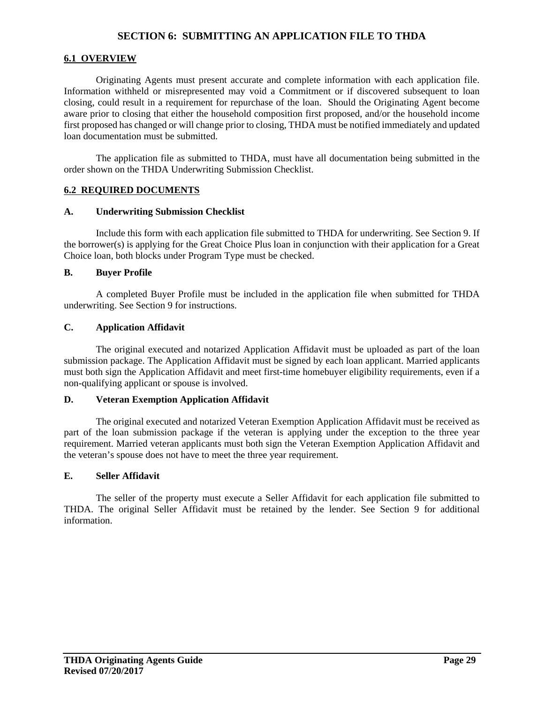# **SECTION 6: SUBMITTING AN APPLICATION FILE TO THDA**

# **6.1 OVERVIEW**

Originating Agents must present accurate and complete information with each application file. Information withheld or misrepresented may void a Commitment or if discovered subsequent to loan closing, could result in a requirement for repurchase of the loan. Should the Originating Agent become aware prior to closing that either the household composition first proposed, and/or the household income first proposed has changed or will change prior to closing, THDA must be notified immediately and updated loan documentation must be submitted.

The application file as submitted to THDA, must have all documentation being submitted in the order shown on the THDA Underwriting Submission Checklist.

#### **6.2 REQUIRED DOCUMENTS**

#### **A. Underwriting Submission Checklist**

Include this form with each application file submitted to THDA for underwriting. See Section 9. If the borrower(s) is applying for the Great Choice Plus loan in conjunction with their application for a Great Choice loan, both blocks under Program Type must be checked.

#### **B. Buyer Profile**

A completed Buyer Profile must be included in the application file when submitted for THDA underwriting. See Section 9 for instructions.

# **C. Application Affidavit**

The original executed and notarized Application Affidavit must be uploaded as part of the loan submission package. The Application Affidavit must be signed by each loan applicant. Married applicants must both sign the Application Affidavit and meet first-time homebuyer eligibility requirements, even if a non-qualifying applicant or spouse is involved.

#### **D. Veteran Exemption Application Affidavit**

The original executed and notarized Veteran Exemption Application Affidavit must be received as part of the loan submission package if the veteran is applying under the exception to the three year requirement. Married veteran applicants must both sign the Veteran Exemption Application Affidavit and the veteran's spouse does not have to meet the three year requirement.

#### **E. Seller Affidavit**

The seller of the property must execute a Seller Affidavit for each application file submitted to THDA. The original Seller Affidavit must be retained by the lender. See Section 9 for additional information.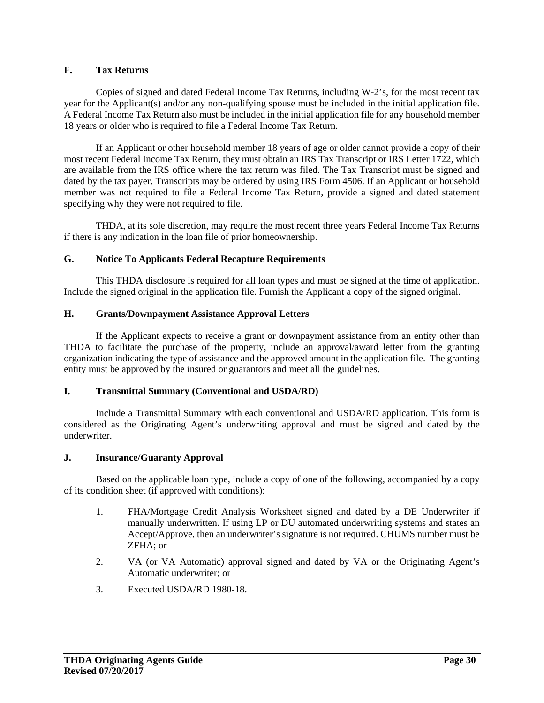# **F. Tax Returns**

Copies of signed and dated Federal Income Tax Returns, including W-2's, for the most recent tax year for the Applicant(s) and/or any non-qualifying spouse must be included in the initial application file. A Federal Income Tax Return also must be included in the initial application file for any household member 18 years or older who is required to file a Federal Income Tax Return.

If an Applicant or other household member 18 years of age or older cannot provide a copy of their most recent Federal Income Tax Return, they must obtain an IRS Tax Transcript or IRS Letter 1722, which are available from the IRS office where the tax return was filed. The Tax Transcript must be signed and dated by the tax payer. Transcripts may be ordered by using IRS Form 4506. If an Applicant or household member was not required to file a Federal Income Tax Return, provide a signed and dated statement specifying why they were not required to file.

THDA, at its sole discretion, may require the most recent three years Federal Income Tax Returns if there is any indication in the loan file of prior homeownership.

# **G. Notice To Applicants Federal Recapture Requirements**

This THDA disclosure is required for all loan types and must be signed at the time of application. Include the signed original in the application file. Furnish the Applicant a copy of the signed original.

# **H. Grants/Downpayment Assistance Approval Letters**

If the Applicant expects to receive a grant or downpayment assistance from an entity other than THDA to facilitate the purchase of the property, include an approval/award letter from the granting organization indicating the type of assistance and the approved amount in the application file. The granting entity must be approved by the insured or guarantors and meet all the guidelines.

#### **I. Transmittal Summary (Conventional and USDA/RD)**

Include a Transmittal Summary with each conventional and USDA/RD application. This form is considered as the Originating Agent's underwriting approval and must be signed and dated by the underwriter.

#### **J. Insurance/Guaranty Approval**

Based on the applicable loan type, include a copy of one of the following, accompanied by a copy of its condition sheet (if approved with conditions):

- 1. FHA/Mortgage Credit Analysis Worksheet signed and dated by a DE Underwriter if manually underwritten. If using LP or DU automated underwriting systems and states an Accept/Approve, then an underwriter's signature is not required. CHUMS number must be ZFHA; or
- 2. VA (or VA Automatic) approval signed and dated by VA or the Originating Agent's Automatic underwriter; or
- 3. Executed USDA/RD 1980-18.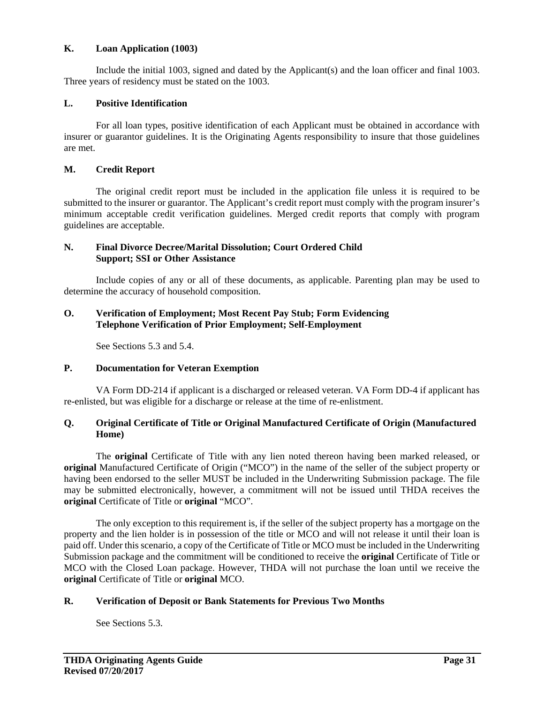# **K. Loan Application (1003)**

Include the initial 1003, signed and dated by the Applicant(s) and the loan officer and final 1003. Three years of residency must be stated on the 1003.

# **L. Positive Identification**

For all loan types, positive identification of each Applicant must be obtained in accordance with insurer or guarantor guidelines. It is the Originating Agents responsibility to insure that those guidelines are met.

#### **M. Credit Report**

The original credit report must be included in the application file unless it is required to be submitted to the insurer or guarantor. The Applicant's credit report must comply with the program insurer's minimum acceptable credit verification guidelines. Merged credit reports that comply with program guidelines are acceptable.

#### **N. Final Divorce Decree/Marital Dissolution; Court Ordered Child Support; SSI or Other Assistance**

Include copies of any or all of these documents, as applicable. Parenting plan may be used to determine the accuracy of household composition.

#### **O. Verification of Employment; Most Recent Pay Stub; Form Evidencing Telephone Verification of Prior Employment; Self-Employment**

See Sections 5.3 and 5.4.

#### **P. Documentation for Veteran Exemption**

VA Form DD-214 if applicant is a discharged or released veteran. VA Form DD-4 if applicant has re-enlisted, but was eligible for a discharge or release at the time of re-enlistment.

# **Q. Original Certificate of Title or Original Manufactured Certificate of Origin (Manufactured Home)**

 The **original** Certificate of Title with any lien noted thereon having been marked released, or **original** Manufactured Certificate of Origin ("MCO") in the name of the seller of the subject property or having been endorsed to the seller MUST be included in the Underwriting Submission package. The file may be submitted electronically, however, a commitment will not be issued until THDA receives the **original** Certificate of Title or **original** "MCO".

 The only exception to this requirement is, if the seller of the subject property has a mortgage on the property and the lien holder is in possession of the title or MCO and will not release it until their loan is paid off. Under this scenario, a copy of the Certificate of Title or MCO must be included in the Underwriting Submission package and the commitment will be conditioned to receive the **original** Certificate of Title or MCO with the Closed Loan package. However, THDA will not purchase the loan until we receive the **original** Certificate of Title or **original** MCO.

# **R. Verification of Deposit or Bank Statements for Previous Two Months**

See Sections 5.3.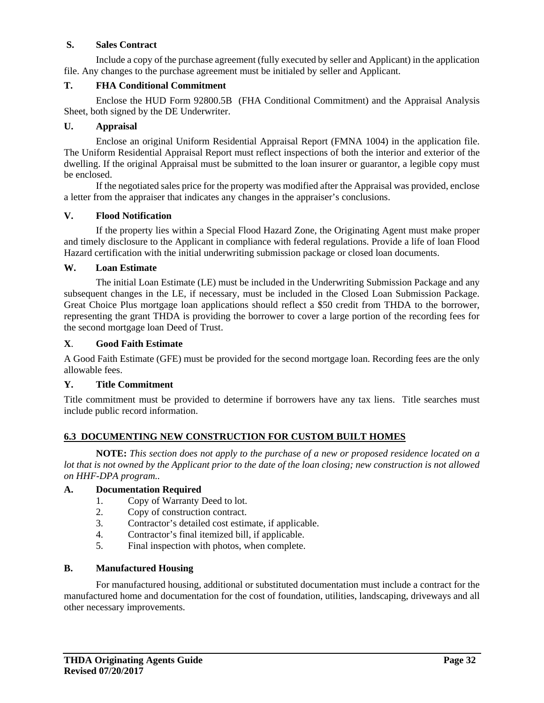# **S. Sales Contract**

Include a copy of the purchase agreement (fully executed by seller and Applicant) in the application file. Any changes to the purchase agreement must be initialed by seller and Applicant.

# **T. FHA Conditional Commitment**

Enclose the HUD Form 92800.5B (FHA Conditional Commitment) and the Appraisal Analysis Sheet, both signed by the DE Underwriter.

# **U. Appraisal**

Enclose an original Uniform Residential Appraisal Report (FMNA 1004) in the application file. The Uniform Residential Appraisal Report must reflect inspections of both the interior and exterior of the dwelling. If the original Appraisal must be submitted to the loan insurer or guarantor, a legible copy must be enclosed.

If the negotiated sales price for the property was modified after the Appraisal was provided, enclose a letter from the appraiser that indicates any changes in the appraiser's conclusions.

# **V. Flood Notification**

If the property lies within a Special Flood Hazard Zone, the Originating Agent must make proper and timely disclosure to the Applicant in compliance with federal regulations. Provide a life of loan Flood Hazard certification with the initial underwriting submission package or closed loan documents.

#### **W. Loan Estimate**

 The initial Loan Estimate (LE) must be included in the Underwriting Submission Package and any subsequent changes in the LE, if necessary, must be included in the Closed Loan Submission Package. Great Choice Plus mortgage loan applications should reflect a \$50 credit from THDA to the borrower, representing the grant THDA is providing the borrower to cover a large portion of the recording fees for the second mortgage loan Deed of Trust.

# **X**. **Good Faith Estimate**

A Good Faith Estimate (GFE) must be provided for the second mortgage loan. Recording fees are the only allowable fees.

#### **Y. Title Commitment**

Title commitment must be provided to determine if borrowers have any tax liens. Title searches must include public record information.

# **6.3 DOCUMENTING NEW CONSTRUCTION FOR CUSTOM BUILT HOMES**

**NOTE:** *This section does not apply to the purchase of a new or proposed residence located on a lot that is not owned by the Applicant prior to the date of the loan closing; new construction is not allowed on HHF-DPA program..* 

#### **A. Documentation Required**

- 1. Copy of Warranty Deed to lot.
- 2. Copy of construction contract.
- 3. Contractor's detailed cost estimate, if applicable.
- 4. Contractor's final itemized bill, if applicable.
- 5. Final inspection with photos, when complete.

#### **B. Manufactured Housing**

For manufactured housing, additional or substituted documentation must include a contract for the manufactured home and documentation for the cost of foundation, utilities, landscaping, driveways and all other necessary improvements.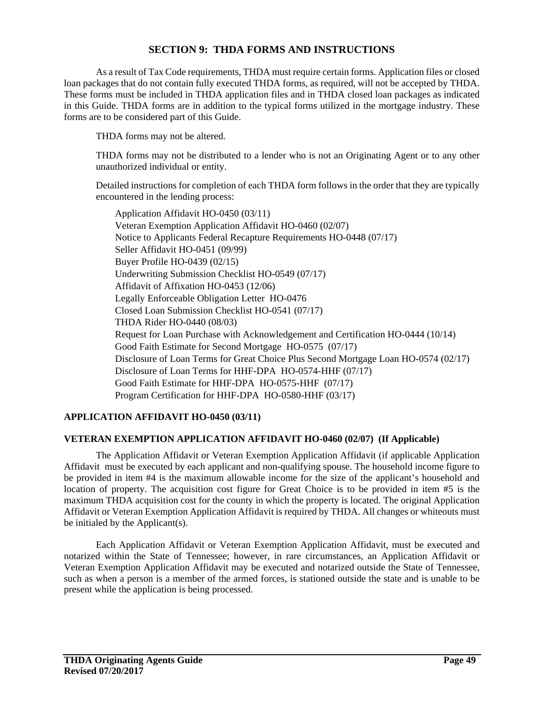# **SECTION 9: THDA FORMS AND INSTRUCTIONS**

As a result of Tax Code requirements, THDA must require certain forms. Application files or closed loan packages that do not contain fully executed THDA forms, as required, will not be accepted by THDA. These forms must be included in THDA application files and in THDA closed loan packages as indicated in this Guide. THDA forms are in addition to the typical forms utilized in the mortgage industry. These forms are to be considered part of this Guide.

THDA forms may not be altered.

THDA forms may not be distributed to a lender who is not an Originating Agent or to any other unauthorized individual or entity.

Detailed instructions for completion of each THDA form follows in the order that they are typically encountered in the lending process:

Application Affidavit HO-0450 (03/11) Veteran Exemption Application Affidavit HO-0460 (02/07) Notice to Applicants Federal Recapture Requirements HO-0448 (07/17) Seller Affidavit HO-0451 (09/99) Buyer Profile HO-0439 (02/15) Underwriting Submission Checklist HO-0549 (07/17) Affidavit of Affixation HO-0453 (12/06) Legally Enforceable Obligation Letter HO-0476 Closed Loan Submission Checklist HO-0541 (07/17) THDA Rider HO-0440 (08/03) Request for Loan Purchase with Acknowledgement and Certification HO-0444 (10/14) Good Faith Estimate for Second Mortgage HO-0575 (07/17) Disclosure of Loan Terms for Great Choice Plus Second Mortgage Loan HO-0574 (02/17) Disclosure of Loan Terms for HHF-DPA HO-0574-HHF (07/17) Good Faith Estimate for HHF-DPA HO-0575-HHF (07/17) Program Certification for HHF-DPA HO-0580-HHF (03/17)

# **APPLICATION AFFIDAVIT HO-0450 (03/11)**

#### **VETERAN EXEMPTION APPLICATION AFFIDAVIT HO-0460 (02/07) (If Applicable)**

The Application Affidavit or Veteran Exemption Application Affidavit (if applicable Application Affidavit must be executed by each applicant and non-qualifying spouse. The household income figure to be provided in item #4 is the maximum allowable income for the size of the applicant's household and location of property. The acquisition cost figure for Great Choice is to be provided in item #5 is the maximum THDA acquisition cost for the county in which the property is located. The original Application Affidavit or Veteran Exemption Application Affidavit is required by THDA. All changes or whiteouts must be initialed by the Applicant(s).

Each Application Affidavit or Veteran Exemption Application Affidavit, must be executed and notarized within the State of Tennessee; however, in rare circumstances, an Application Affidavit or Veteran Exemption Application Affidavit may be executed and notarized outside the State of Tennessee, such as when a person is a member of the armed forces, is stationed outside the state and is unable to be present while the application is being processed.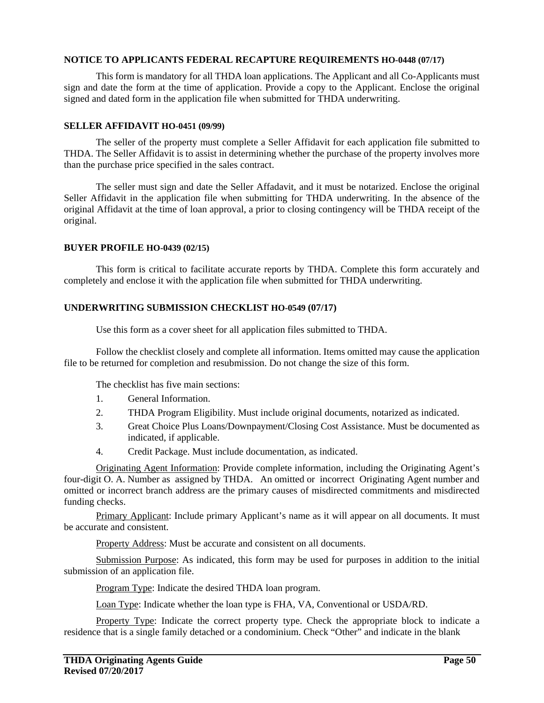#### **NOTICE TO APPLICANTS FEDERAL RECAPTURE REQUIREMENTS HO-0448 (07/17)**

This form is mandatory for all THDA loan applications. The Applicant and all Co-Applicants must sign and date the form at the time of application. Provide a copy to the Applicant. Enclose the original signed and dated form in the application file when submitted for THDA underwriting.

#### **SELLER AFFIDAVIT HO-0451 (09/99)**

The seller of the property must complete a Seller Affidavit for each application file submitted to THDA. The Seller Affidavit is to assist in determining whether the purchase of the property involves more than the purchase price specified in the sales contract.

The seller must sign and date the Seller Affadavit, and it must be notarized. Enclose the original Seller Affidavit in the application file when submitting for THDA underwriting. In the absence of the original Affidavit at the time of loan approval, a prior to closing contingency will be THDA receipt of the original.

#### **BUYER PROFILE HO-0439 (02/15)**

This form is critical to facilitate accurate reports by THDA. Complete this form accurately and completely and enclose it with the application file when submitted for THDA underwriting.

#### **UNDERWRITING SUBMISSION CHECKLIST HO-0549 (07/17)**

Use this form as a cover sheet for all application files submitted to THDA.

Follow the checklist closely and complete all information. Items omitted may cause the application file to be returned for completion and resubmission. Do not change the size of this form.

The checklist has five main sections:

- 1. General Information.
- 2. THDA Program Eligibility. Must include original documents, notarized as indicated.
- 3. Great Choice Plus Loans/Downpayment/Closing Cost Assistance. Must be documented as indicated, if applicable.
- 4. Credit Package. Must include documentation, as indicated.

Originating Agent Information: Provide complete information, including the Originating Agent's four-digit O. A. Number as assigned by THDA. An omitted or incorrect Originating Agent number and omitted or incorrect branch address are the primary causes of misdirected commitments and misdirected funding checks.

Primary Applicant: Include primary Applicant's name as it will appear on all documents. It must be accurate and consistent.

Property Address: Must be accurate and consistent on all documents.

Submission Purpose: As indicated, this form may be used for purposes in addition to the initial submission of an application file.

Program Type: Indicate the desired THDA loan program.

Loan Type: Indicate whether the loan type is FHA, VA, Conventional or USDA/RD.

Property Type: Indicate the correct property type. Check the appropriate block to indicate a residence that is a single family detached or a condominium. Check "Other" and indicate in the blank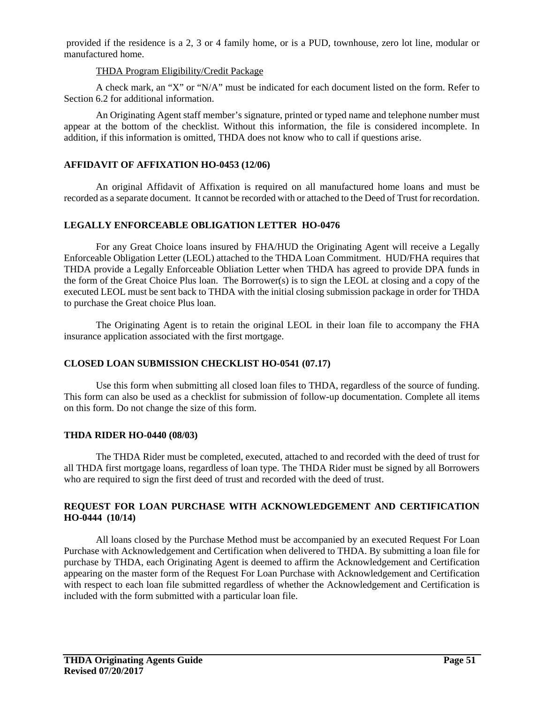provided if the residence is a 2, 3 or 4 family home, or is a PUD, townhouse, zero lot line, modular or manufactured home.

#### THDA Program Eligibility/Credit Package

A check mark, an "X" or "N/A" must be indicated for each document listed on the form. Refer to Section 6.2 for additional information.

An Originating Agent staff member's signature, printed or typed name and telephone number must appear at the bottom of the checklist. Without this information, the file is considered incomplete. In addition, if this information is omitted, THDA does not know who to call if questions arise.

# **AFFIDAVIT OF AFFIXATION HO-0453 (12/06)**

An original Affidavit of Affixation is required on all manufactured home loans and must be recorded as a separate document. It cannot be recorded with or attached to the Deed of Trust for recordation.

# **LEGALLY ENFORCEABLE OBLIGATION LETTER HO-0476**

For any Great Choice loans insured by FHA/HUD the Originating Agent will receive a Legally Enforceable Obligation Letter (LEOL) attached to the THDA Loan Commitment. HUD/FHA requires that THDA provide a Legally Enforceable Obliation Letter when THDA has agreed to provide DPA funds in the form of the Great Choice Plus loan. The Borrower(s) is to sign the LEOL at closing and a copy of the executed LEOL must be sent back to THDA with the initial closing submission package in order for THDA to purchase the Great choice Plus loan.

The Originating Agent is to retain the original LEOL in their loan file to accompany the FHA insurance application associated with the first mortgage.

# **CLOSED LOAN SUBMISSION CHECKLIST HO-0541 (07.17)**

Use this form when submitting all closed loan files to THDA, regardless of the source of funding. This form can also be used as a checklist for submission of follow-up documentation. Complete all items on this form. Do not change the size of this form.

# **THDA RIDER HO-0440 (08/03)**

The THDA Rider must be completed, executed, attached to and recorded with the deed of trust for all THDA first mortgage loans, regardless of loan type. The THDA Rider must be signed by all Borrowers who are required to sign the first deed of trust and recorded with the deed of trust.

# **REQUEST FOR LOAN PURCHASE WITH ACKNOWLEDGEMENT AND CERTIFICATION HO-0444 (10/14)**

All loans closed by the Purchase Method must be accompanied by an executed Request For Loan Purchase with Acknowledgement and Certification when delivered to THDA. By submitting a loan file for purchase by THDA, each Originating Agent is deemed to affirm the Acknowledgement and Certification appearing on the master form of the Request For Loan Purchase with Acknowledgement and Certification with respect to each loan file submitted regardless of whether the Acknowledgement and Certification is included with the form submitted with a particular loan file.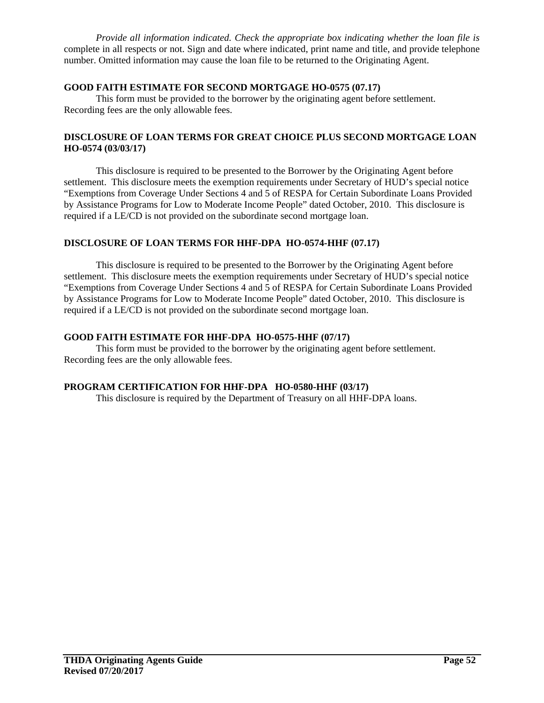*Provide all information indicated. Check the appropriate box indicating whether the loan file is* complete in all respects or not. Sign and date where indicated, print name and title, and provide telephone number. Omitted information may cause the loan file to be returned to the Originating Agent.

# **GOOD FAITH ESTIMATE FOR SECOND MORTGAGE HO-0575 (07.17)**

This form must be provided to the borrower by the originating agent before settlement. Recording fees are the only allowable fees.

# **DISCLOSURE OF LOAN TERMS FOR GREAT CHOICE PLUS SECOND MORTGAGE LOAN HO-0574 (03/03/17)**

This disclosure is required to be presented to the Borrower by the Originating Agent before settlement. This disclosure meets the exemption requirements under Secretary of HUD's special notice "Exemptions from Coverage Under Sections 4 and 5 of RESPA for Certain Subordinate Loans Provided by Assistance Programs for Low to Moderate Income People" dated October, 2010. This disclosure is required if a LE/CD is not provided on the subordinate second mortgage loan.

# **DISCLOSURE OF LOAN TERMS FOR HHF-DPA HO-0574-HHF (07.17)**

This disclosure is required to be presented to the Borrower by the Originating Agent before settlement. This disclosure meets the exemption requirements under Secretary of HUD's special notice "Exemptions from Coverage Under Sections 4 and 5 of RESPA for Certain Subordinate Loans Provided by Assistance Programs for Low to Moderate Income People" dated October, 2010. This disclosure is required if a LE/CD is not provided on the subordinate second mortgage loan.

# **GOOD FAITH ESTIMATE FOR HHF-DPA HO-0575-HHF (07/17)**

This form must be provided to the borrower by the originating agent before settlement. Recording fees are the only allowable fees.

# **PROGRAM CERTIFICATION FOR HHF-DPA HO-0580-HHF (03/17)**

This disclosure is required by the Department of Treasury on all HHF-DPA loans.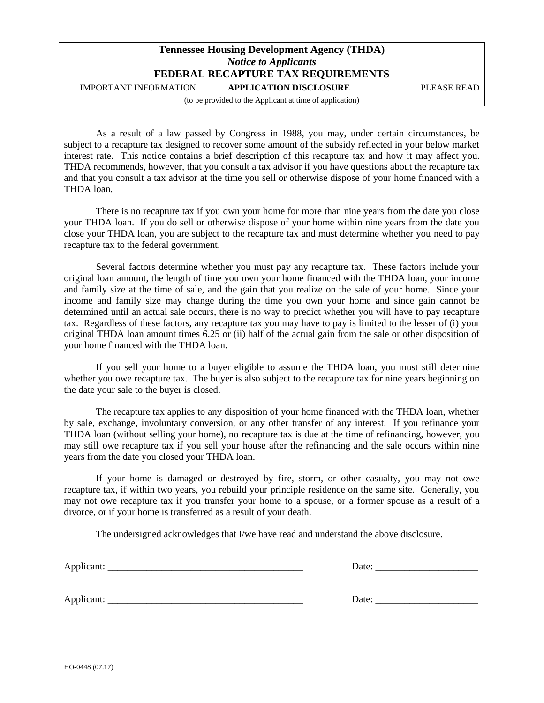# **Tennessee Housing Development Agency (THDA)** *Notice to Applicants* **FEDERAL RECAPTURE TAX REQUIREMENTS**

IMPORTANT INFORMATION **APPLICATION DISCLOSURE** PLEASE READ

(to be provided to the Applicant at time of application)

As a result of a law passed by Congress in 1988, you may, under certain circumstances, be subject to a recapture tax designed to recover some amount of the subsidy reflected in your below market interest rate. This notice contains a brief description of this recapture tax and how it may affect you. THDA recommends, however, that you consult a tax advisor if you have questions about the recapture tax and that you consult a tax advisor at the time you sell or otherwise dispose of your home financed with a THDA loan.

There is no recapture tax if you own your home for more than nine years from the date you close your THDA loan. If you do sell or otherwise dispose of your home within nine years from the date you close your THDA loan, you are subject to the recapture tax and must determine whether you need to pay recapture tax to the federal government.

Several factors determine whether you must pay any recapture tax. These factors include your original loan amount, the length of time you own your home financed with the THDA loan, your income and family size at the time of sale, and the gain that you realize on the sale of your home. Since your income and family size may change during the time you own your home and since gain cannot be determined until an actual sale occurs, there is no way to predict whether you will have to pay recapture tax. Regardless of these factors, any recapture tax you may have to pay is limited to the lesser of (i) your original THDA loan amount times 6.25 or (ii) half of the actual gain from the sale or other disposition of your home financed with the THDA loan.

If you sell your home to a buyer eligible to assume the THDA loan, you must still determine whether you owe recapture tax. The buyer is also subject to the recapture tax for nine years beginning on the date your sale to the buyer is closed.

The recapture tax applies to any disposition of your home financed with the THDA loan, whether by sale, exchange, involuntary conversion, or any other transfer of any interest. If you refinance your THDA loan (without selling your home), no recapture tax is due at the time of refinancing, however, you may still owe recapture tax if you sell your house after the refinancing and the sale occurs within nine years from the date you closed your THDA loan.

If your home is damaged or destroyed by fire, storm, or other casualty, you may not owe recapture tax, if within two years, you rebuild your principle residence on the same site. Generally, you may not owe recapture tax if you transfer your home to a spouse, or a former spouse as a result of a divorce, or if your home is transferred as a result of your death.

The undersigned acknowledges that I/we have read and understand the above disclosure.

| $\Delta$<br>. .<br>________________ | . .<br>$- \cdot -$ |
|-------------------------------------|--------------------|
|                                     |                    |

Applicant: \_\_\_\_\_\_\_\_\_\_\_\_\_\_\_\_\_\_\_\_\_\_\_\_\_\_\_\_\_\_\_\_\_\_\_\_\_\_\_\_ Date: \_\_\_\_\_\_\_\_\_\_\_\_\_\_\_\_\_\_\_\_\_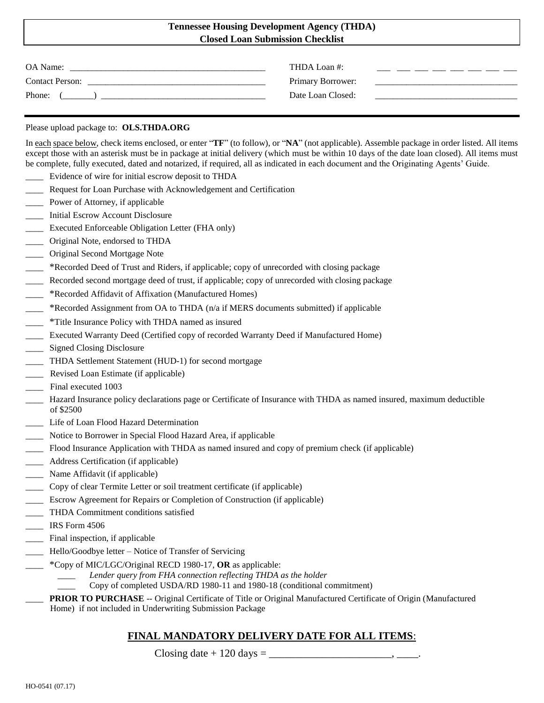# **Tennessee Housing Development Agency (THDA) Closed Loan Submission Checklist**

| OA Name:               | THDA Loan #:      |
|------------------------|-------------------|
| <b>Contact Person:</b> | Primary Borrower: |
| Phone:                 | Date Loan Closed: |
|                        |                   |

#### Please upload package to: **OLS.THDA.ORG**

In each space below, check items enclosed, or enter "**TF**" (to follow), or "**NA**" (not applicable). Assemble package in order listed. All items except those with an asterisk must be in package at initial delivery (which must be within 10 days of the date loan closed). All items must be complete, fully executed, dated and notarized, if required, all as indicated in each document and the Originating Agents' Guide.

- Evidence of wire for initial escrow deposit to THDA
- Request for Loan Purchase with Acknowledgement and Certification
- Power of Attorney, if applicable
- \_\_\_\_ Initial Escrow Account Disclosure
- \_\_\_\_ Executed Enforceable Obligation Letter (FHA only)
- \_\_\_\_ Original Note, endorsed to THDA
- \_\_\_\_ Original Second Mortgage Note
- \_\_\_\_ \*Recorded Deed of Trust and Riders, if applicable; copy of unrecorded with closing package
- Recorded second mortgage deed of trust, if applicable; copy of unrecorded with closing package
- \_\_\_\_ \*Recorded Affidavit of Affixation (Manufactured Homes)
- \_\_\_\_ \*Recorded Assignment from OA to THDA (n/a if MERS documents submitted) if applicable
- \_\_\_\_ \*Title Insurance Policy with THDA named as insured
- \_\_\_\_ Executed Warranty Deed (Certified copy of recorded Warranty Deed if Manufactured Home)
- Signed Closing Disclosure
- \_\_\_\_ THDA Settlement Statement (HUD-1) for second mortgage
- \_\_\_\_ Revised Loan Estimate (if applicable)
- Final executed 1003
- \_\_\_\_ Hazard Insurance policy declarations page or Certificate of Insurance with THDA as named insured, maximum deductible of \$2500
- \_\_\_\_ Life of Loan Flood Hazard Determination
- Notice to Borrower in Special Flood Hazard Area, if applicable
- \_\_\_\_ Flood Insurance Application with THDA as named insured and copy of premium check (if applicable)
- Address Certification (if applicable)
- \_\_\_\_ Name Affidavit (if applicable)
- \_\_\_\_ Copy of clear Termite Letter or soil treatment certificate (if applicable)
- Escrow Agreement for Repairs or Completion of Construction (if applicable)
- \_\_\_\_ THDA Commitment conditions satisfied
- \_\_\_\_ IRS Form 4506
- Final inspection, if applicable
- \_\_\_\_ Hello/Goodbye letter Notice of Transfer of Servicing
- \_\_\_\_ \*Copy of MIC/LGC/Original RECD 1980-17, **OR** as applicable:
	- *\_\_\_\_ Lender query from FHA connection reflecting THDA as the holder*
	- \_\_\_\_ Copy of completed USDA/RD 1980-11 and 1980-18 (conditional commitment)
	- \_\_\_\_ **PRIOR TO PURCHASE** -- Original Certificate of Title or Original Manufactured Certificate of Origin (Manufactured Home) if not included in Underwriting Submission Package

# **FINAL MANDATORY DELIVERY DATE FOR ALL ITEMS**:

Closing date  $+$  120 days  $=$  \_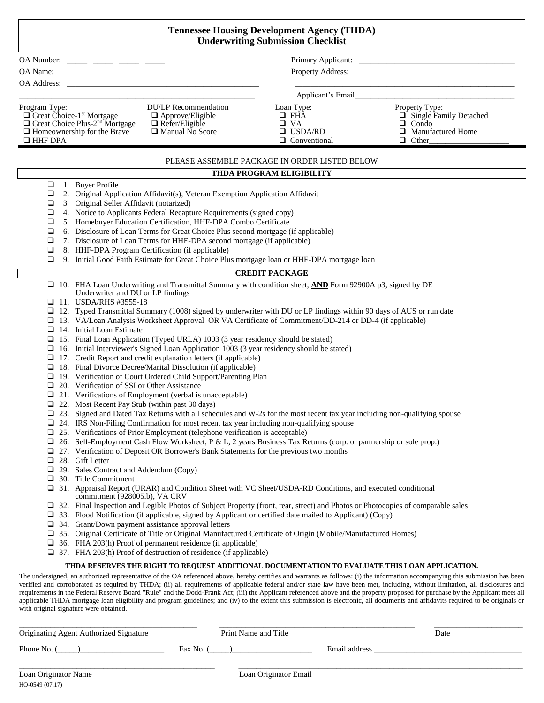| <b>Tennessee Housing Development Agency (THDA)</b><br><b>Underwriting Submission Checklist</b>                                                                                                                                                                                                                                                                                                                                                                                                                                                                                                                                                                                                                                                                                                                                                                                                                                                                                                                                                                                                                                                                                                                                                                                                                                                                                                                                                                                                                                                                                                                                                                                                                                                                                                                                                                                                                                                                                                                                                                                                                                                                                                                                                                                                                                                                                                                  |                                                                                |                                                                                                             |  |
|-----------------------------------------------------------------------------------------------------------------------------------------------------------------------------------------------------------------------------------------------------------------------------------------------------------------------------------------------------------------------------------------------------------------------------------------------------------------------------------------------------------------------------------------------------------------------------------------------------------------------------------------------------------------------------------------------------------------------------------------------------------------------------------------------------------------------------------------------------------------------------------------------------------------------------------------------------------------------------------------------------------------------------------------------------------------------------------------------------------------------------------------------------------------------------------------------------------------------------------------------------------------------------------------------------------------------------------------------------------------------------------------------------------------------------------------------------------------------------------------------------------------------------------------------------------------------------------------------------------------------------------------------------------------------------------------------------------------------------------------------------------------------------------------------------------------------------------------------------------------------------------------------------------------------------------------------------------------------------------------------------------------------------------------------------------------------------------------------------------------------------------------------------------------------------------------------------------------------------------------------------------------------------------------------------------------------------------------------------------------------------------------------------------------|--------------------------------------------------------------------------------|-------------------------------------------------------------------------------------------------------------|--|
| OA Number: _____ ____ ____ ____ ____                                                                                                                                                                                                                                                                                                                                                                                                                                                                                                                                                                                                                                                                                                                                                                                                                                                                                                                                                                                                                                                                                                                                                                                                                                                                                                                                                                                                                                                                                                                                                                                                                                                                                                                                                                                                                                                                                                                                                                                                                                                                                                                                                                                                                                                                                                                                                                            |                                                                                |                                                                                                             |  |
|                                                                                                                                                                                                                                                                                                                                                                                                                                                                                                                                                                                                                                                                                                                                                                                                                                                                                                                                                                                                                                                                                                                                                                                                                                                                                                                                                                                                                                                                                                                                                                                                                                                                                                                                                                                                                                                                                                                                                                                                                                                                                                                                                                                                                                                                                                                                                                                                                 |                                                                                |                                                                                                             |  |
|                                                                                                                                                                                                                                                                                                                                                                                                                                                                                                                                                                                                                                                                                                                                                                                                                                                                                                                                                                                                                                                                                                                                                                                                                                                                                                                                                                                                                                                                                                                                                                                                                                                                                                                                                                                                                                                                                                                                                                                                                                                                                                                                                                                                                                                                                                                                                                                                                 |                                                                                |                                                                                                             |  |
|                                                                                                                                                                                                                                                                                                                                                                                                                                                                                                                                                                                                                                                                                                                                                                                                                                                                                                                                                                                                                                                                                                                                                                                                                                                                                                                                                                                                                                                                                                                                                                                                                                                                                                                                                                                                                                                                                                                                                                                                                                                                                                                                                                                                                                                                                                                                                                                                                 |                                                                                |                                                                                                             |  |
| <b>DU/LP</b> Recommendation<br>Program Type:<br>$\Box$ Great Choice-1 <sup>st</sup> Mortgage<br>$\Box$ Approve/Eligible<br>$\Box$ Great Choice Plus-2 <sup>nd</sup> Mortgage<br>$\Box$ Refer/Eligible<br>$\Box$ Homeownership for the Brave<br>$\Box$ Manual No Score<br>$\Box$ HHF DPA                                                                                                                                                                                                                                                                                                                                                                                                                                                                                                                                                                                                                                                                                                                                                                                                                                                                                                                                                                                                                                                                                                                                                                                                                                                                                                                                                                                                                                                                                                                                                                                                                                                                                                                                                                                                                                                                                                                                                                                                                                                                                                                         | Loan Type:<br>$\Box$ FHA<br>$\Box$ VA<br>$\Box$ USDA/RD<br>$\Box$ Conventional | Property Type:<br>$\Box$ Single Family Detached<br>$\Box$ Condo<br>$\Box$ Manufactured Home<br>$\Box$ Other |  |
|                                                                                                                                                                                                                                                                                                                                                                                                                                                                                                                                                                                                                                                                                                                                                                                                                                                                                                                                                                                                                                                                                                                                                                                                                                                                                                                                                                                                                                                                                                                                                                                                                                                                                                                                                                                                                                                                                                                                                                                                                                                                                                                                                                                                                                                                                                                                                                                                                 | PLEASE ASSEMBLE PACKAGE IN ORDER LISTED BELOW                                  |                                                                                                             |  |
|                                                                                                                                                                                                                                                                                                                                                                                                                                                                                                                                                                                                                                                                                                                                                                                                                                                                                                                                                                                                                                                                                                                                                                                                                                                                                                                                                                                                                                                                                                                                                                                                                                                                                                                                                                                                                                                                                                                                                                                                                                                                                                                                                                                                                                                                                                                                                                                                                 | THDA PROGRAM ELIGIBILITY                                                       |                                                                                                             |  |
| 1. Buyer Profile<br>$\Box$<br>$\Box$<br>2. Original Application Affidavit(s), Veteran Exemption Application Affidavit<br>3 Original Seller Affidavit (notarized)<br>$\Box$<br>4. Notice to Applicants Federal Recapture Requirements (signed copy)<br>❏<br>5. Homebuyer Education Certification, HHF-DPA Combo Certificate<br>□<br>6. Disclosure of Loan Terms for Great Choice Plus second mortgage (if applicable)<br>$\Box$<br>7. Disclosure of Loan Terms for HHF-DPA second mortgage (if applicable)<br>$\Box$<br>8. HHF-DPA Program Certification (if applicable)<br>❏<br>9. Initial Good Faith Estimate for Great Choice Plus mortgage loan or HHF-DPA mortgage loan<br>Q.                                                                                                                                                                                                                                                                                                                                                                                                                                                                                                                                                                                                                                                                                                                                                                                                                                                                                                                                                                                                                                                                                                                                                                                                                                                                                                                                                                                                                                                                                                                                                                                                                                                                                                                               |                                                                                |                                                                                                             |  |
|                                                                                                                                                                                                                                                                                                                                                                                                                                                                                                                                                                                                                                                                                                                                                                                                                                                                                                                                                                                                                                                                                                                                                                                                                                                                                                                                                                                                                                                                                                                                                                                                                                                                                                                                                                                                                                                                                                                                                                                                                                                                                                                                                                                                                                                                                                                                                                                                                 |                                                                                |                                                                                                             |  |
| <b>CREDIT PACKAGE</b><br>$\Box$ 10. FHA Loan Underwriting and Transmittal Summary with condition sheet, AND Form 92900A p3, signed by DE<br>Underwriter and DU or LP findings<br>$\Box$ 11. USDA/RHS #3555-18<br>$\Box$ 12. Typed Transmittal Summary (1008) signed by underwriter with DU or LP findings within 90 days of AUS or run date<br>□ 13. VA/Loan Analysis Worksheet Approval OR VA Certificate of Commitment/DD-214 or DD-4 (if applicable)<br>$\Box$ 14. Initial Loan Estimate<br>$\Box$ 15. Final Loan Application (Typed URLA) 1003 (3 year residency should be stated)<br>$\Box$ 16. Initial Interviewer's Signed Loan Application 1003 (3 year residency should be stated)<br>$\Box$ 17. Credit Report and credit explanation letters (if applicable)<br>$\Box$ 18. Final Divorce Decree/Marital Dissolution (if applicable)<br>□ 19. Verification of Court Ordered Child Support/Parenting Plan<br>$\Box$ 20. Verification of SSI or Other Assistance<br>$\Box$ 21. Verifications of Employment (verbal is unacceptable)<br>$\Box$ 22. Most Recent Pay Stub (within past 30 days)<br>□ 23. Signed and Dated Tax Returns with all schedules and W-2s for the most recent tax year including non-qualifying spouse<br>$\Box$ 24. IRS Non-Filing Confirmation for most recent tax year including non-qualifying spouse<br>$\Box$ 25. Verifications of Prior Employment (telephone verification is acceptable)<br>26. Self-Employment Cash Flow Worksheet, P & L, 2 years Business Tax Returns (corp. or partnership or sole prop.)<br>⊔<br>$\Box$ 27. Verification of Deposit OR Borrower's Bank Statements for the previous two months<br>28. Gift Letter<br>⊔<br>29. Sales Contract and Addendum (Copy)<br>30. Title Commitment<br>⊔<br>□ 31. Appraisal Report (URAR) and Condition Sheet with VC Sheet/USDA-RD Conditions, and executed conditional<br>commitment (928005.b), VA CRV<br>□ 32. Final Inspection and Legible Photos of Subject Property (front, rear, street) and Photos or Photocopies of comparable sales<br>$\Box$ 33. Flood Notification (if applicable, signed by Applicant or certified date mailed to Applicant) (Copy)<br>34. Grant/Down payment assistance approval letters<br>⊔<br>□ 35. Original Certificate of Title or Original Manufactured Certificate of Origin (Mobile/Manufactured Homes)<br>36. FHA 203(h) Proof of permanent residence (if applicable)<br>⊔ |                                                                                |                                                                                                             |  |
| THDA RESERVES THE RIGHT TO REQUEST ADDITIONAL DOCUMENTATION TO EVALUATE THIS LOAN APPLICATION.                                                                                                                                                                                                                                                                                                                                                                                                                                                                                                                                                                                                                                                                                                                                                                                                                                                                                                                                                                                                                                                                                                                                                                                                                                                                                                                                                                                                                                                                                                                                                                                                                                                                                                                                                                                                                                                                                                                                                                                                                                                                                                                                                                                                                                                                                                                  |                                                                                |                                                                                                             |  |
| The undersigned, an authorized representative of the OA referenced above, hereby certifies and warrants as follows: (i) the information accompanying this submission has been<br>verified and corroborated as required by THDA; (ii) all requirements of applicable federal and/or state law have been met, including, without limitation, all disclosures and                                                                                                                                                                                                                                                                                                                                                                                                                                                                                                                                                                                                                                                                                                                                                                                                                                                                                                                                                                                                                                                                                                                                                                                                                                                                                                                                                                                                                                                                                                                                                                                                                                                                                                                                                                                                                                                                                                                                                                                                                                                  |                                                                                |                                                                                                             |  |

requirements in the Federal Reserve Board "Rule" and the Dodd-Frank Act; (iii) the Applicant referenced above and the property proposed for purchase by the Applicant meet all applicable THDA mortgage loan eligibility and program guidelines; and (iv) to the extent this submission is electronic, all documents and affidavits required to be originals or with original signature were obtained.

| Originating Agent Authorized Signature | Print Name and Title |               | Date |
|----------------------------------------|----------------------|---------------|------|
| Phone No.                              | Fax No. 0            | Email address |      |
|                                        |                      |               |      |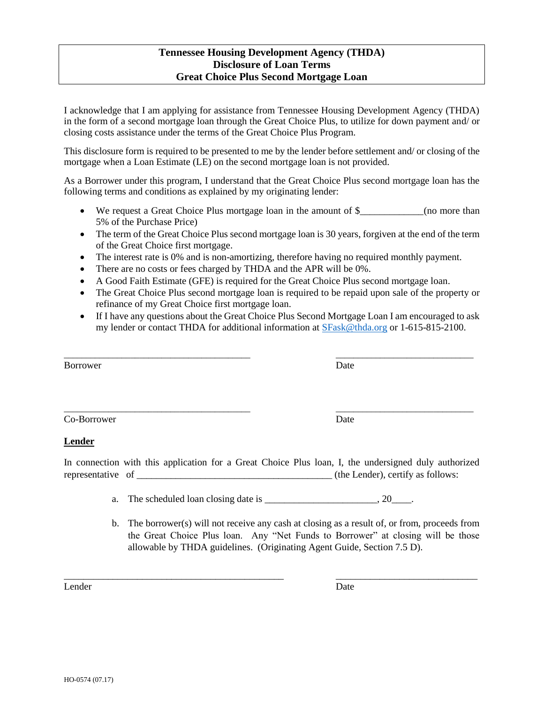# **Tennessee Housing Development Agency (THDA) Disclosure of Loan Terms Great Choice Plus Second Mortgage Loan**

I acknowledge that I am applying for assistance from Tennessee Housing Development Agency (THDA) in the form of a second mortgage loan through the Great Choice Plus, to utilize for down payment and/ or closing costs assistance under the terms of the Great Choice Plus Program.

This disclosure form is required to be presented to me by the lender before settlement and/ or closing of the mortgage when a Loan Estimate (LE) on the second mortgage loan is not provided.

As a Borrower under this program, I understand that the Great Choice Plus second mortgage loan has the following terms and conditions as explained by my originating lender:

- We request a Great Choice Plus mortgage loan in the amount of \$ (no more than 5% of the Purchase Price)
- The term of the Great Choice Plus second mortgage loan is 30 years, forgiven at the end of the term of the Great Choice first mortgage.
- The interest rate is 0% and is non-amortizing, therefore having no required monthly payment.
- There are no costs or fees charged by THDA and the APR will be 0%.
- A Good Faith Estimate (GFE) is required for the Great Choice Plus second mortgage loan.

\_\_\_\_\_\_\_\_\_\_\_\_\_\_\_\_\_\_\_\_\_\_\_\_\_\_\_\_\_\_\_\_\_\_\_\_\_\_\_\_\_\_ \_\_\_\_\_\_\_\_\_\_\_\_\_\_\_\_\_\_\_\_\_\_\_\_\_\_\_\_\_\_\_

- The Great Choice Plus second mortgage loan is required to be repaid upon sale of the property or refinance of my Great Choice first mortgage loan.
- If I have any questions about the Great Choice Plus Second Mortgage Loan I am encouraged to ask my lender or contact THDA for additional information at [SFask@thda.org](mailto:SFask@thda.org) or 1-615-815-2100.

Borrower Date by Date and the United States of the United States of the United States of the United States of the United States of the United States of the United States of the United States of the United States of the Uni

Co-Borrower Date

#### **Lender**

In connection with this application for a Great Choice Plus loan, I, the undersigned duly authorized representative of  $\qquad \qquad$  (the Lender), certify as follows:

\_\_\_\_\_\_\_\_\_\_\_\_\_\_\_\_\_\_\_\_\_\_\_\_\_\_\_\_\_\_\_\_\_\_\_\_\_\_\_\_\_\_\_\_\_ \_\_\_\_\_\_\_\_\_\_\_\_\_\_\_\_\_\_\_\_\_\_\_\_\_\_\_\_\_

- a. The scheduled loan closing date is  $\qquad \qquad$  . 20
- b. The borrower(s) will not receive any cash at closing as a result of, or from, proceeds from the Great Choice Plus loan. Any "Net Funds to Borrower" at closing will be those allowable by THDA guidelines. (Originating Agent Guide, Section 7.5 D).

Lender Date

\_\_\_\_\_\_\_\_\_\_\_\_\_\_\_\_\_\_\_\_\_\_\_\_\_\_\_\_\_\_\_\_\_\_\_\_\_\_\_\_\_\_ \_\_\_\_\_\_\_\_\_\_\_\_\_\_\_\_\_\_\_\_\_\_\_\_\_\_\_\_\_\_\_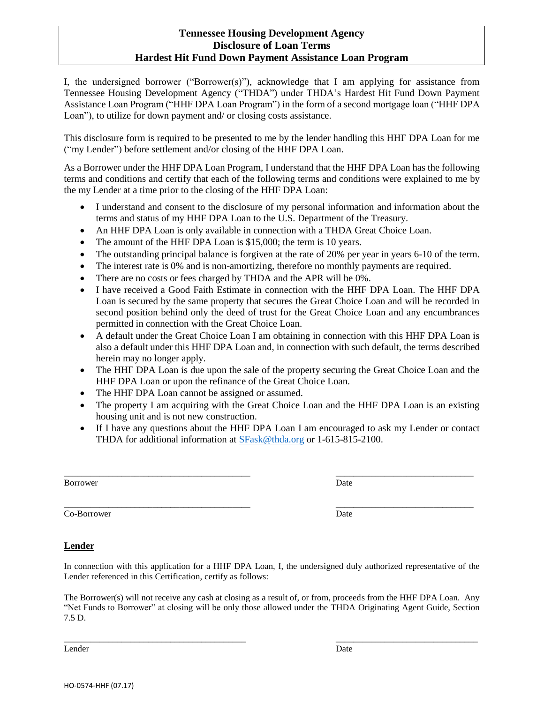#### **Tennessee Housing Development Agency Disclosure of Loan Terms Hardest Hit Fund Down Payment Assistance Loan Program**

I, the undersigned borrower ("Borrower(s)"), acknowledge that I am applying for assistance from Tennessee Housing Development Agency ("THDA") under THDA's Hardest Hit Fund Down Payment Assistance Loan Program ("HHF DPA Loan Program") in the form of a second mortgage loan ("HHF DPA Loan"), to utilize for down payment and/ or closing costs assistance.

This disclosure form is required to be presented to me by the lender handling this HHF DPA Loan for me ("my Lender") before settlement and/or closing of the HHF DPA Loan.

As a Borrower under the HHF DPA Loan Program, I understand that the HHF DPA Loan has the following terms and conditions and certify that each of the following terms and conditions were explained to me by the my Lender at a time prior to the closing of the HHF DPA Loan:

- I understand and consent to the disclosure of my personal information and information about the terms and status of my HHF DPA Loan to the U.S. Department of the Treasury.
- An HHF DPA Loan is only available in connection with a THDA Great Choice Loan.
- The amount of the HHF DPA Loan is \$15,000; the term is 10 years.
- The outstanding principal balance is forgiven at the rate of 20% per year in years 6-10 of the term.
- The interest rate is 0% and is non-amortizing, therefore no monthly payments are required.
- There are no costs or fees charged by THDA and the APR will be 0%.
- I have received a Good Faith Estimate in connection with the HHF DPA Loan. The HHF DPA Loan is secured by the same property that secures the Great Choice Loan and will be recorded in second position behind only the deed of trust for the Great Choice Loan and any encumbrances permitted in connection with the Great Choice Loan.
- A default under the Great Choice Loan I am obtaining in connection with this HHF DPA Loan is also a default under this HHF DPA Loan and, in connection with such default, the terms described herein may no longer apply.
- The HHF DPA Loan is due upon the sale of the property securing the Great Choice Loan and the HHF DPA Loan or upon the refinance of the Great Choice Loan.
- The HHF DPA Loan cannot be assigned or assumed.
- The property I am acquiring with the Great Choice Loan and the HHF DPA Loan is an existing housing unit and is not new construction.
- If I have any questions about the HHF DPA Loan I am encouraged to ask my Lender or contact THDA for additional information at [SFask@thda.org](mailto:SFask@thda.org) or 1-615-815-2100.

\_\_\_\_\_\_\_\_\_\_\_\_\_\_\_\_\_\_\_\_\_\_\_\_\_\_\_\_\_\_\_\_\_\_\_\_\_\_\_\_\_\_ \_\_\_\_\_\_\_\_\_\_\_\_\_\_\_\_\_\_\_\_\_\_\_\_\_\_\_\_\_\_\_

\_\_\_\_\_\_\_\_\_\_\_\_\_\_\_\_\_\_\_\_\_\_\_\_\_\_\_\_\_\_\_\_\_\_\_\_\_\_\_\_\_\_ \_\_\_\_\_\_\_\_\_\_\_\_\_\_\_\_\_\_\_\_\_\_\_\_\_\_\_\_\_\_\_

Borrower Date by the United States of the United States of the United States of the United States of the United States of the United States of the United States of the United States of the United States of the United State

Co-Borrower Date Date of the United States of the United States of the United States of the United States of the United States of the United States of the United States of the United States of the United States of the Unit

# **Lender**

In connection with this application for a HHF DPA Loan, I, the undersigned duly authorized representative of the Lender referenced in this Certification, certify as follows:

The Borrower(s) will not receive any cash at closing as a result of, or from, proceeds from the HHF DPA Loan. Any "Net Funds to Borrower" at closing will be only those allowed under the THDA Originating Agent Guide, Section 7.5 D.

\_\_\_\_\_\_\_\_\_\_\_\_\_\_\_\_\_\_\_\_\_\_\_\_\_\_\_\_\_\_\_\_\_\_\_\_\_\_\_\_\_ \_\_\_\_\_\_\_\_\_\_\_\_\_\_\_\_\_\_\_\_\_\_\_\_\_\_\_\_\_\_\_\_

Lender Date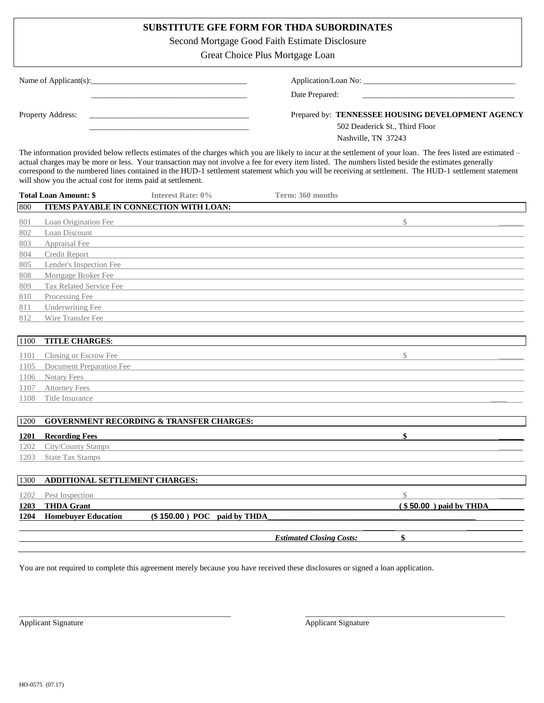# **SUBSTITUTE GFE FORM FOR THDA SUBORDINATES**

Second Mortgage Good Faith Estimate Disclosure

Great Choice Plus Mortgage Loan

| Name of Applicant(s): $\blacksquare$ | Application/Loan No:                              |
|--------------------------------------|---------------------------------------------------|
|                                      | Date Prepared:                                    |
| Property Address:                    | Prepared by: TENNESSEE HOUSING DEVELOPMENT AGENCY |
|                                      | 502 Deaderick St., Third Floor                    |
|                                      | Nashville, TN 37243                               |

The information provided below reflects estimates of the charges which you are likely to incur at the settlement of your loan. The fees listed are estimated – actual charges may be more or less. Your transaction may not involve a fee for every item listed. The numbers listed beside the estimates generally correspond to the numbered lines contained in the HUD-1 settlement statement which you will be receiving at settlement. The HUD-1 settlement statement will show you the actual cost for items paid at settlement.

|      | <b>Total Loan Amount: \$</b>           | <b>Interest Rate: 0%</b>                            | Term: 360 months                |                         |
|------|----------------------------------------|-----------------------------------------------------|---------------------------------|-------------------------|
| 800  | ITEMS PAYABLE IN CONNECTION WITH LOAN: |                                                     |                                 |                         |
| 801  | Loan Origination Fee                   |                                                     |                                 | \$                      |
| 802  | Loan Discount                          |                                                     |                                 |                         |
| 803  | Appraisal Fee                          |                                                     |                                 |                         |
| 804  | <b>Credit Report</b>                   |                                                     |                                 |                         |
| 805  | Lender's Inspection Fee                |                                                     |                                 |                         |
| 808  | Mortgage Broker Fee                    |                                                     |                                 |                         |
| 809  | Tax Related Service Fee                |                                                     |                                 |                         |
| 810  | Processing Fee                         |                                                     |                                 |                         |
| 811  | <b>Underwriting Fee</b>                |                                                     |                                 |                         |
| 812  | Wire Transfer Fee                      |                                                     |                                 |                         |
|      |                                        |                                                     |                                 |                         |
| 1100 | <b>TITLE CHARGES:</b>                  |                                                     |                                 |                         |
| 1101 | Closing or Escrow Fee                  |                                                     |                                 | $\mathcal{S}$           |
| 1105 | Document Preparation Fee               |                                                     |                                 |                         |
| 1106 | <b>Notary Fees</b>                     |                                                     |                                 |                         |
| 1107 | <b>Attorney Fees</b>                   |                                                     |                                 |                         |
| 1108 | Title Insurance                        |                                                     |                                 |                         |
|      |                                        |                                                     |                                 |                         |
| 1200 |                                        | <b>GOVERNMENT RECORDING &amp; TRANSFER CHARGES:</b> |                                 |                         |
| 1201 | <b>Recording Fees</b>                  |                                                     |                                 | \$                      |
| 1202 | City/County Stamps                     |                                                     |                                 |                         |
| 1203 | <b>State Tax Stamps</b>                |                                                     |                                 |                         |
|      |                                        |                                                     |                                 |                         |
| 1300 | ADDITIONAL SETTLEMENT CHARGES:         |                                                     |                                 |                         |
| 1202 | Pest Inspection                        |                                                     |                                 | $\mathcal{S}$           |
| 1203 | <b>THDA Grant</b>                      |                                                     |                                 | $($50.00)$ paid by THDA |
| 1204 | <b>Homebuyer Education</b>             | $(\$150.00)$ POC paid by THDA                       |                                 |                         |
|      |                                        |                                                     |                                 |                         |
|      |                                        |                                                     | <b>Estimated Closing Costs:</b> | \$                      |

You are not required to complete this agreement merely because you have received these disclosures or signed a loan application.

\_\_\_\_\_\_\_\_\_\_\_\_\_\_\_\_\_\_\_\_\_\_\_\_\_\_\_\_\_\_\_\_\_\_\_\_\_\_\_\_\_\_\_\_\_\_\_\_\_\_\_\_\_ \_\_\_\_\_\_\_\_\_\_\_\_\_\_\_\_\_\_\_\_\_\_\_\_\_\_\_\_\_\_\_\_\_\_\_\_\_\_\_\_\_\_\_\_\_\_\_\_\_\_

Applicant Signature Applicant Signature Applicant Signature Applicant Signature